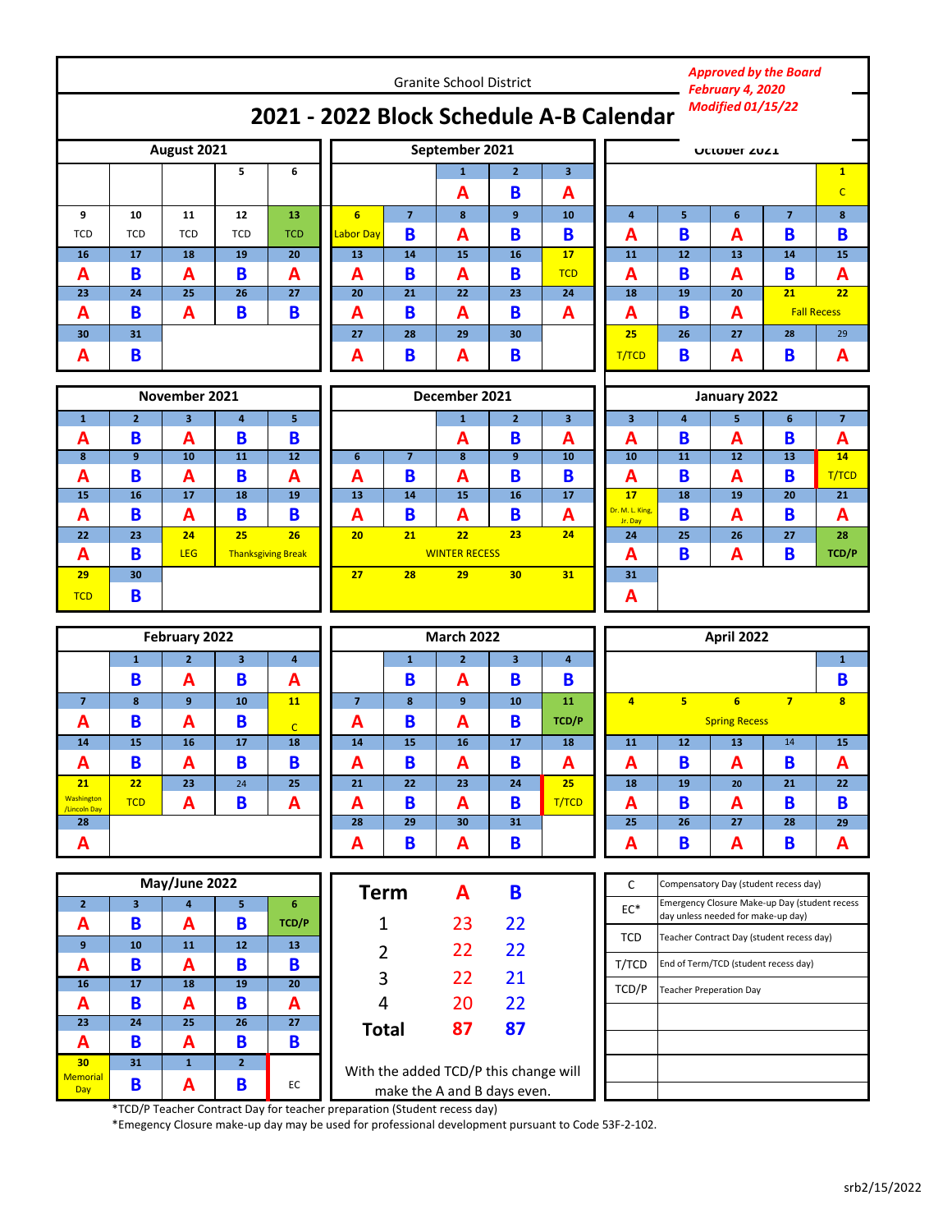| <b>Granite School District</b>                                      |                         |                                          |                         |                                 |                        |                |                      |                                       | <b>Approved by the Board</b><br>February 4, 2020 |                                   |                         |                                                                                        |                |                         |  |  |  |  |
|---------------------------------------------------------------------|-------------------------|------------------------------------------|-------------------------|---------------------------------|------------------------|----------------|----------------------|---------------------------------------|--------------------------------------------------|-----------------------------------|-------------------------|----------------------------------------------------------------------------------------|----------------|-------------------------|--|--|--|--|
| <b>Modified 01/15/22</b><br>2021 - 2022 Block Schedule A-B Calendar |                         |                                          |                         |                                 |                        |                |                      |                                       |                                                  |                                   |                         |                                                                                        |                |                         |  |  |  |  |
| August 2021                                                         |                         |                                          |                         |                                 |                        |                | September 2021       |                                       |                                                  | <b>UCTODET ZUZI</b>               |                         |                                                                                        |                |                         |  |  |  |  |
|                                                                     |                         |                                          | 5                       | 6                               |                        |                | $\mathbf{1}$         | $\overline{2}$                        | 3                                                |                                   |                         |                                                                                        |                | $\mathbf{1}$            |  |  |  |  |
|                                                                     |                         |                                          |                         |                                 |                        |                | A                    | B                                     | Α                                                |                                   |                         |                                                                                        |                | $\mathsf{C}$            |  |  |  |  |
| 9                                                                   | 10                      | 11                                       | 12                      | 13                              | $6\overline{6}$        | $\overline{7}$ | 8                    | 9                                     | 10                                               | $\overline{4}$                    | 5                       | 6                                                                                      | $\overline{7}$ | 8                       |  |  |  |  |
| <b>TCD</b><br>16                                                    | <b>TCD</b><br>17        | <b>TCD</b><br>18                         | <b>TCD</b><br>19        | <b>TCD</b><br>20                | <b>Labor Day</b><br>13 | B<br>14        | $\overline{A}$<br>15 | B<br>16                               | B<br>17                                          | A<br>11                           | B<br>12                 | $\overline{\mathsf{A}}$<br>13                                                          | B<br>14        | B<br>15                 |  |  |  |  |
| A                                                                   | B                       | A                                        | B                       | A                               | A                      | B              | $\overline{A}$       | B                                     | <b>TCD</b>                                       | A                                 | B                       | $\overline{\mathsf{A}}$                                                                | B              | Α                       |  |  |  |  |
| 23                                                                  | 24                      | 25                                       | 26                      | 27                              | 20                     | 21             | 22                   | 23                                    | 24                                               | 18                                | 19                      | 20                                                                                     | 21             | 22                      |  |  |  |  |
| A                                                                   | B                       | A                                        | B                       | B                               | Α                      | B              | A                    | B                                     | A                                                | B<br>A<br><b>Fall Recess</b><br>A |                         |                                                                                        |                |                         |  |  |  |  |
| 30                                                                  | 31                      |                                          |                         |                                 | 27                     | 28             | 29                   | 30                                    |                                                  | 25                                | 26<br>B                 | 27<br>A                                                                                | 28             | 29                      |  |  |  |  |
| A                                                                   | B                       |                                          |                         |                                 | Α                      | B              | $\mathbf{A}$         | B                                     |                                                  | T/TCD                             | B                       | A                                                                                      |                |                         |  |  |  |  |
|                                                                     |                         |                                          |                         |                                 |                        |                | December 2021        |                                       |                                                  | January 2022                      |                         |                                                                                        |                |                         |  |  |  |  |
| $\mathbf{1}$                                                        | $\overline{2}$          | November 2021<br>$\overline{\mathbf{3}}$ | $\overline{4}$          | 5                               |                        |                | $\mathbf{1}$         | $\overline{2}$                        | 3                                                | $\overline{\mathbf{3}}$           | $\overline{\mathbf{4}}$ | 5                                                                                      | 6              | $\overline{7}$          |  |  |  |  |
| A                                                                   | B                       | A                                        | B                       | B                               |                        |                | A                    | B                                     | A                                                | A                                 | B                       | A                                                                                      | B              | Α                       |  |  |  |  |
| 8                                                                   | $\overline{9}$          | 10                                       | 11                      | 12                              | 6                      | $\overline{7}$ | 8                    | $\mathbf{9}$                          | 10                                               | 10                                | 11                      | 12                                                                                     | 13             | 14                      |  |  |  |  |
| A                                                                   | B                       | A                                        | B                       | А                               | A                      | B              | A                    | B                                     | B                                                | Α                                 | B                       | $\overline{\mathsf{A}}$                                                                | B              | T/TCD                   |  |  |  |  |
| 15                                                                  | 16                      | 17                                       | 18                      | 19                              | 13                     | 14             | 15                   | 16                                    | 17                                               | <b>17</b><br>Dr. M. L. King,      | 18                      | 19                                                                                     | 20             | 21                      |  |  |  |  |
| A                                                                   | B                       | A                                        | B                       | B                               | A                      | B              | A<br>22              | B<br>23                               | A<br>24                                          | Jr. Day                           | B                       | A                                                                                      | B              | Α                       |  |  |  |  |
| 22<br>A                                                             | 23<br>B                 | 24<br>LEG                                | 25                      | 26<br><b>Thanksgiving Break</b> | 20                     | 21             | <b>WINTER RECESS</b> |                                       |                                                  | 24<br>Α                           | 25<br>B                 | 26<br>A                                                                                | 27<br>B        | 28<br>TCD/P             |  |  |  |  |
| 29                                                                  | 30                      |                                          |                         |                                 | 27                     | 28             | 29                   | 31<br>30                              |                                                  | 31                                |                         |                                                                                        |                |                         |  |  |  |  |
| <b>TCD</b>                                                          | B                       |                                          |                         |                                 |                        |                |                      |                                       |                                                  | A                                 |                         |                                                                                        |                |                         |  |  |  |  |
|                                                                     |                         |                                          |                         |                                 |                        |                |                      |                                       |                                                  |                                   |                         |                                                                                        |                |                         |  |  |  |  |
|                                                                     |                         |                                          |                         | February 2022                   |                        |                |                      | <b>March 2022</b>                     |                                                  |                                   |                         |                                                                                        | April 2022     |                         |  |  |  |  |
|                                                                     | $\mathbf{1}$            | $\overline{2}$                           |                         |                                 |                        |                |                      |                                       |                                                  |                                   |                         |                                                                                        |                |                         |  |  |  |  |
|                                                                     |                         |                                          | $\overline{\mathbf{3}}$ | 4                               |                        | $\mathbf{1}$   | $\overline{2}$       | $\overline{\mathbf{3}}$               | $\overline{\mathbf{4}}$                          |                                   |                         |                                                                                        |                | $\mathbf{1}$            |  |  |  |  |
|                                                                     | B                       | A                                        | B                       | А                               |                        | B              | $\mathbf{A}$         | B                                     | B                                                |                                   |                         |                                                                                        |                | B                       |  |  |  |  |
| $\overline{7}$                                                      | 8                       | 9                                        | 10                      | 11                              | $\overline{7}$         | 8              | 9                    | 10                                    | 11                                               | $\overline{4}$                    | 5 <sup>2</sup>          | 6 <sup>2</sup>                                                                         | $\overline{7}$ | $\overline{\mathbf{8}}$ |  |  |  |  |
| A                                                                   | B                       | A                                        | B                       | $\overline{C}$                  | А                      | B              | A                    | B                                     | <b>TCD/P</b>                                     |                                   |                         | <b>Spring Recess</b>                                                                   |                |                         |  |  |  |  |
| 14                                                                  | 15                      | 16                                       | 17                      | 18                              | 14                     | 15             | 16                   | 17                                    | 18                                               | 11                                | 12                      | 13                                                                                     | 14             | 15                      |  |  |  |  |
| A<br>21                                                             | B<br>22                 | A<br>23                                  | B<br>24                 | B<br>25                         | A<br>21                | B<br>22        | A<br>23              | B<br>24                               | A<br>25                                          | A<br>18                           | B<br>19                 | A<br>20                                                                                | B<br>21        | A<br>22                 |  |  |  |  |
| <b>Washington</b><br>/Lincoln Day                                   | <b>TCD</b>              | A                                        | B                       | A                               | A                      | B              | A                    | B                                     | T/TCD                                            | A                                 | B                       | A                                                                                      | B              | B                       |  |  |  |  |
| 28                                                                  |                         |                                          |                         |                                 | 28                     | 29             | 30                   | 31                                    |                                                  | 25                                | 26                      | 27                                                                                     | 28             | 29                      |  |  |  |  |
| A                                                                   |                         |                                          |                         |                                 | A                      | B              | A                    | B                                     |                                                  | A                                 | B                       | A                                                                                      | B              | A                       |  |  |  |  |
|                                                                     |                         |                                          |                         |                                 |                        |                |                      |                                       |                                                  |                                   |                         |                                                                                        |                |                         |  |  |  |  |
|                                                                     | $\overline{\mathbf{3}}$ | May/June 2022                            |                         | 6                               | <b>Term</b>            |                | A                    | B                                     |                                                  | C                                 |                         | Compensatory Day (student recess day)<br>Emergency Closure Make-up Day (student recess |                |                         |  |  |  |  |
| $\mathbf{2}$<br>A                                                   | B                       | $\pmb{4}$<br>A                           | 5<br>B                  | TCD/P                           |                        | 1              | 23                   | 22                                    |                                                  | $\mathsf{EC}^*$                   |                         | day unless needed for make-up day)                                                     |                |                         |  |  |  |  |
| 9 <sup>°</sup>                                                      | 10                      | 11                                       | 12                      | 13                              |                        |                |                      |                                       |                                                  | <b>TCD</b>                        |                         | Teacher Contract Day (student recess day)                                              |                |                         |  |  |  |  |
| A                                                                   | B                       | A                                        | B                       | B                               |                        | $\overline{2}$ | 22                   | 22                                    |                                                  | T/TCD                             |                         | End of Term/TCD (student recess day)                                                   |                |                         |  |  |  |  |
| 16                                                                  | $\overline{17}$         | $\overline{18}$                          | 19                      | $\overline{20}$                 |                        | 3              | 22                   | 21                                    |                                                  | TCD/P                             |                         | <b>Teacher Preperation Day</b>                                                         |                |                         |  |  |  |  |
| A                                                                   | B                       | A                                        | B                       | A                               | 4                      |                | 20                   | 22                                    |                                                  |                                   |                         |                                                                                        |                |                         |  |  |  |  |
| 23                                                                  | $24$                    | $\overline{25}$                          | 26                      | 27                              | <b>Total</b>           |                | 87                   | 87                                    |                                                  |                                   |                         |                                                                                        |                |                         |  |  |  |  |
| A<br>30                                                             | B<br>31                 | A<br>${\bf 1}$                           | B<br>$\mathbf{2}$       | B                               |                        |                |                      | With the added TCD/P this change will |                                                  |                                   |                         |                                                                                        |                |                         |  |  |  |  |

make the A and B days even. \*TCD/P Teacher Contract Day for teacher preparation (Student recess day)

EC

**B**

**A**

Memorial Day

**B**

\*Emegency Closure make-up day may be used for professional development pursuant to Code 53F-2-102.